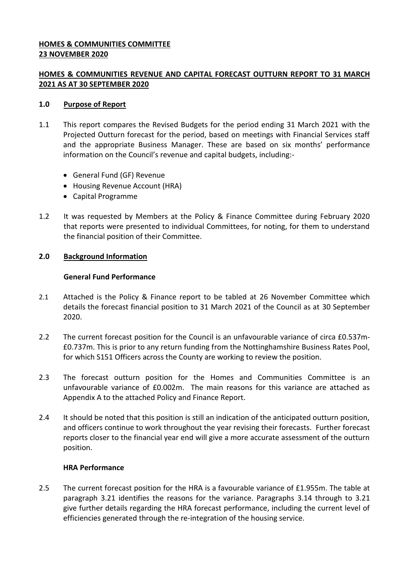## **HOMES & COMMUNITIES COMMITTEE 23 NOVEMBER 2020**

# **HOMES & COMMUNITIES REVENUE AND CAPITAL FORECAST OUTTURN REPORT TO 31 MARCH 2021 AS AT 30 SEPTEMBER 2020**

### **1.0 Purpose of Report**

- 1.1 This report compares the Revised Budgets for the period ending 31 March 2021 with the Projected Outturn forecast for the period, based on meetings with Financial Services staff and the appropriate Business Manager. These are based on six months' performance information on the Council's revenue and capital budgets, including:-
	- General Fund (GF) Revenue
	- Housing Revenue Account (HRA)
	- Capital Programme
- 1.2 It was requested by Members at the Policy & Finance Committee during February 2020 that reports were presented to individual Committees, for noting, for them to understand the financial position of their Committee.

## **2.0 Background Information**

## **General Fund Performance**

- 2.1 Attached is the Policy & Finance report to be tabled at 26 November Committee which details the forecast financial position to 31 March 2021 of the Council as at 30 September 2020.
- 2.2 The current forecast position for the Council is an unfavourable variance of circa £0.537m- £0.737m. This is prior to any return funding from the Nottinghamshire Business Rates Pool, for which S151 Officers across the County are working to review the position.
- 2.3 The forecast outturn position for the Homes and Communities Committee is an unfavourable variance of £0.002m. The main reasons for this variance are attached as Appendix A to the attached Policy and Finance Report.
- 2.4 It should be noted that this position is still an indication of the anticipated outturn position, and officers continue to work throughout the year revising their forecasts. Further forecast reports closer to the financial year end will give a more accurate assessment of the outturn position.

### **HRA Performance**

2.5 The current forecast position for the HRA is a favourable variance of £1.955m. The table at paragraph 3.21 identifies the reasons for the variance. Paragraphs 3.14 through to 3.21 give further details regarding the HRA forecast performance, including the current level of efficiencies generated through the re-integration of the housing service.